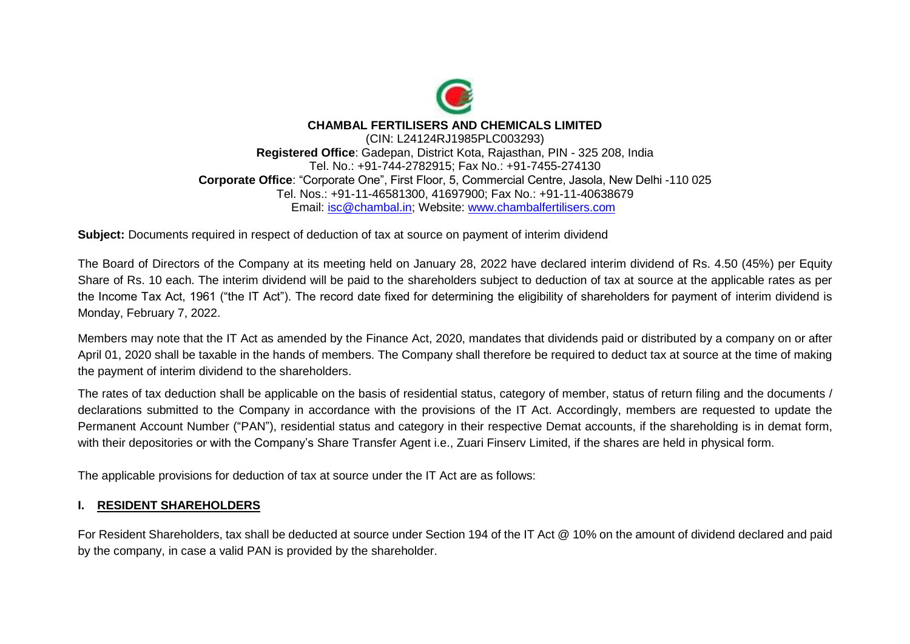

## **CHAMBAL FERTILISERS AND CHEMICALS LIMITED**

(CIN: L24124RJ1985PLC003293) **Registered Office**: Gadepan, District Kota, Rajasthan, PIN - 325 208, India Tel. No.: +91-744-2782915; Fax No.: +91-7455-274130 **Corporate Office**: "Corporate One", First Floor, 5, Commercial Centre, Jasola, New Delhi -110 025 Tel. Nos.: +91-11-46581300, 41697900; Fax No.: +91-11-40638679 Email: [isc@chambal.in;](mailto:isc@chambal.in) Website: [www.chambalfertilisers.com](http://www.chambalfertilisers.com/)

**Subject:** Documents required in respect of deduction of tax at source on payment of interim dividend

The Board of Directors of the Company at its meeting held on January 28, 2022 have declared interim dividend of Rs. 4.50 (45%) per Equity Share of Rs. 10 each. The interim dividend will be paid to the shareholders subject to deduction of tax at source at the applicable rates as per the Income Tax Act, 1961 ("the IT Act"). The record date fixed for determining the eligibility of shareholders for payment of interim dividend is Monday, February 7, 2022.

Members may note that the IT Act as amended by the Finance Act, 2020, mandates that dividends paid or distributed by a company on or after April 01, 2020 shall be taxable in the hands of members. The Company shall therefore be required to deduct tax at source at the time of making the payment of interim dividend to the shareholders.

The rates of tax deduction shall be applicable on the basis of residential status, category of member, status of return filing and the documents / declarations submitted to the Company in accordance with the provisions of the IT Act. Accordingly, members are requested to update the Permanent Account Number ("PAN"), residential status and category in their respective Demat accounts, if the shareholding is in demat form, with their depositories or with the Company's Share Transfer Agent i.e., Zuari Finserv Limited, if the shares are held in physical form.

The applicable provisions for deduction of tax at source under the IT Act are as follows:

## **I. RESIDENT SHAREHOLDERS**

For Resident Shareholders, tax shall be deducted at source under Section 194 of the IT Act @ 10% on the amount of dividend declared and paid by the company, in case a valid PAN is provided by the shareholder.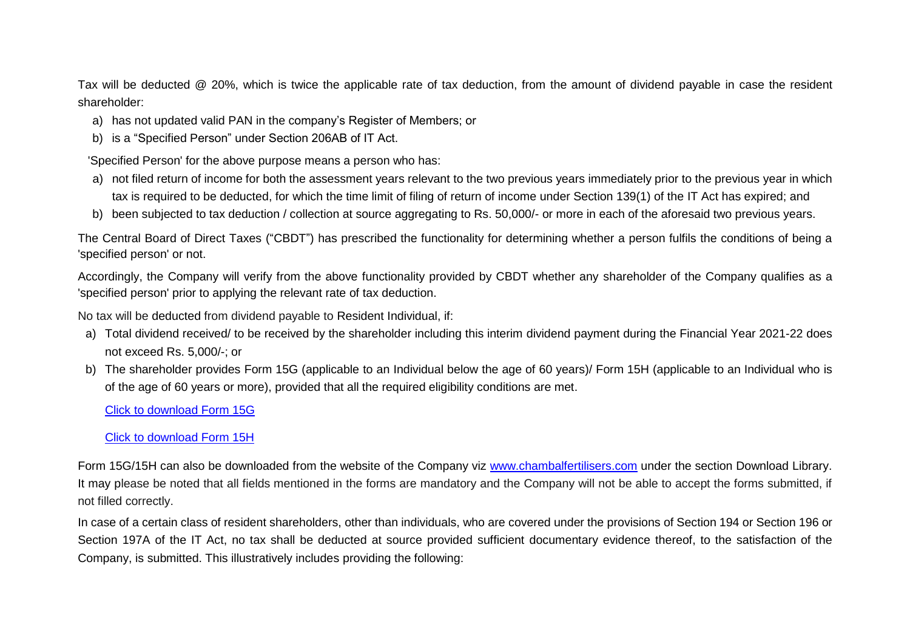Tax will be deducted @ 20%, which is twice the applicable rate of tax deduction, from the amount of dividend payable in case the resident shareholder:

- a) has not updated valid PAN in the company's Register of Members; or
- b) is a "Specified Person" under Section 206AB of IT Act.

'Specified Person' for the above purpose means a person who has:

- a) not filed return of income for both the assessment years relevant to the two previous years immediately prior to the previous year in which tax is required to be deducted, for which the time limit of filing of return of income under Section 139(1) of the IT Act has expired; and
- b) been subjected to tax deduction / collection at source aggregating to Rs. 50,000/- or more in each of the aforesaid two previous years.

The Central Board of Direct Taxes ("CBDT") has prescribed the functionality for determining whether a person fulfils the conditions of being a 'specified person' or not.

Accordingly, the Company will verify from the above functionality provided by CBDT whether any shareholder of the Company qualifies as a 'specified person' prior to applying the relevant rate of tax deduction.

No tax will be deducted from dividend payable to Resident Individual, if:

- a) Total dividend received/ to be received by the shareholder including this interim dividend payment during the Financial Year 2021-22 does not exceed Rs. 5,000/-; or
- b) The shareholder provides Form 15G (applicable to an Individual below the age of 60 years)/ Form 15H (applicable to an Individual who is of the age of 60 years or more), provided that all the required eligibility conditions are met.

[Click to download Form 15G](http://www.chambalfertilisers.com/pdf/Form_15G.pdf)

[Click to download Form 15H](http://www.chambalfertilisers.com/pdf/Form_15H.pdf)

Form 15G/15H can also be downloaded from the website of the Company viz www.chambalfertilisers.com under the section Download Library. It may please be noted that all fields mentioned in the forms are mandatory and the Company will not be able to accept the forms submitted, if not filled correctly.

In case of a certain class of resident shareholders, other than individuals, who are covered under the provisions of Section 194 or Section 196 or Section 197A of the IT Act, no tax shall be deducted at source provided sufficient documentary evidence thereof, to the satisfaction of the Company, is submitted. This illustratively includes providing the following: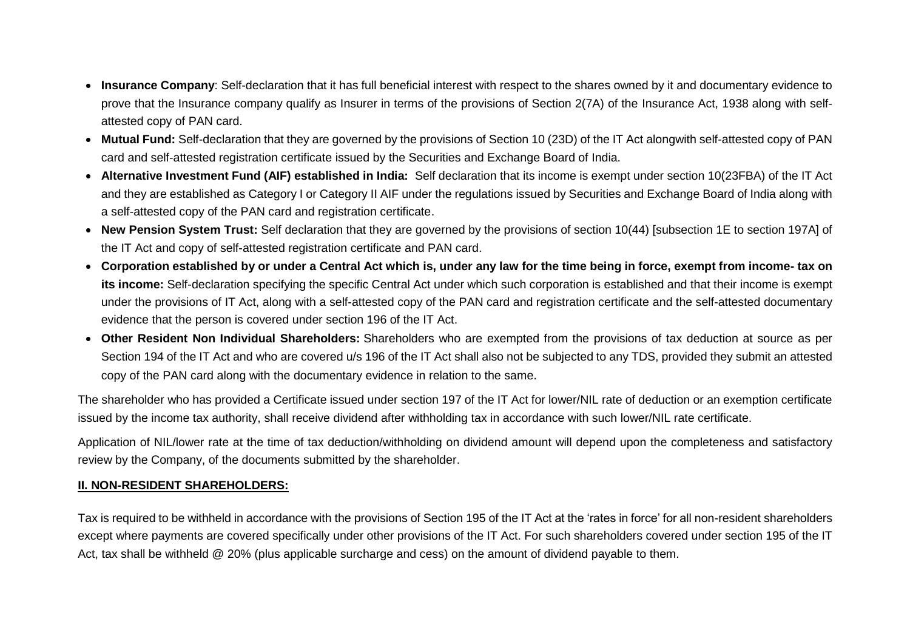- **Insurance Company**: Self-declaration that it has full beneficial interest with respect to the shares owned by it and documentary evidence to prove that the Insurance company qualify as Insurer in terms of the provisions of Section 2(7A) of the Insurance Act, 1938 along with selfattested copy of PAN card.
- **Mutual Fund:** Self-declaration that they are governed by the provisions of Section 10 (23D) of the IT Act alongwith self-attested copy of PAN card and self-attested registration certificate issued by the Securities and Exchange Board of India.
- **Alternative Investment Fund (AIF) established in India:** Self declaration that its income is exempt under section 10(23FBA) of the IT Act and they are established as Category I or Category II AIF under the regulations issued by Securities and Exchange Board of India along with a self-attested copy of the PAN card and registration certificate.
- New Pension System Trust: Self declaration that they are governed by the provisions of section 10(44) [subsection 1E to section 197A] of the IT Act and copy of self-attested registration certificate and PAN card.
- **Corporation established by or under a Central Act which is, under any law for the time being in force, exempt from income- tax on its income:** Self-declaration specifying the specific Central Act under which such corporation is established and that their income is exempt under the provisions of IT Act, along with a self-attested copy of the PAN card and registration certificate and the self-attested documentary evidence that the person is covered under section 196 of the IT Act.
- **Other Resident Non Individual Shareholders:** Shareholders who are exempted from the provisions of tax deduction at source as per Section 194 of the IT Act and who are covered u/s 196 of the IT Act shall also not be subjected to any TDS, provided they submit an attested copy of the PAN card along with the documentary evidence in relation to the same.

The shareholder who has provided a Certificate issued under section 197 of the IT Act for lower/NIL rate of deduction or an exemption certificate issued by the income tax authority, shall receive dividend after withholding tax in accordance with such lower/NIL rate certificate.

Application of NIL/lower rate at the time of tax deduction/withholding on dividend amount will depend upon the completeness and satisfactory review by the Company, of the documents submitted by the shareholder.

## **II. NON-RESIDENT SHAREHOLDERS:**

Tax is required to be withheld in accordance with the provisions of Section 195 of the IT Act at the 'rates in force' for all non-resident shareholders except where payments are covered specifically under other provisions of the IT Act. For such shareholders covered under section 195 of the IT Act, tax shall be withheld @ 20% (plus applicable surcharge and cess) on the amount of dividend payable to them.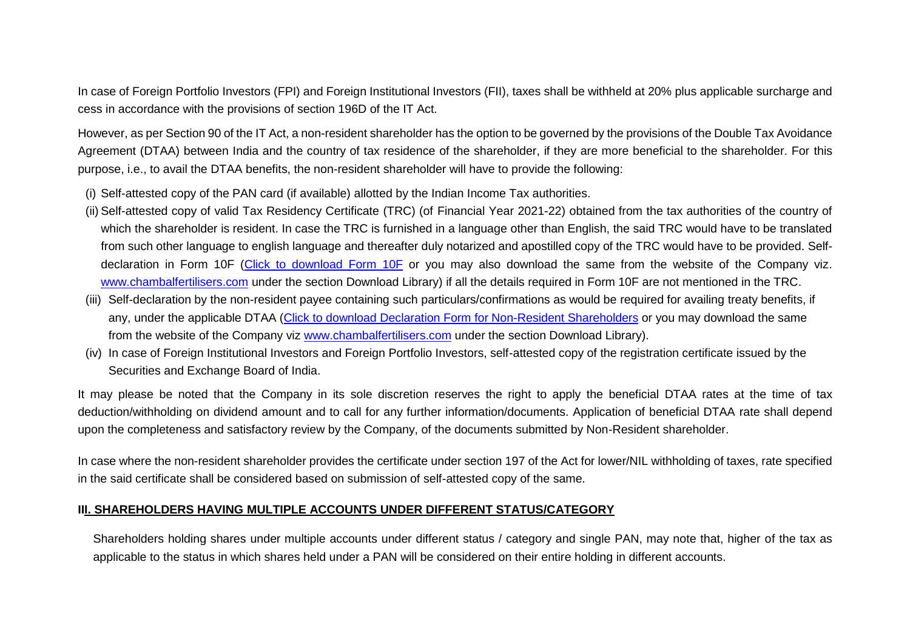In case of Foreign Portfolio Investors (FPI) and Foreign Institutional Investors (FII), taxes shall be withheld at 20% plus applicable surcharge and cess in accordance with the provisions of section 196D of the IT Act.

However, as per Section 90 of the IT Act, a non-resident shareholder has the option to be governed by the provisions of the Double Tax Avoidance Agreement (DTAA) between India and the country of tax residence of the shareholder, if they are more beneficial to the shareholder. For this purpose, i.e., to avail the DTAA benefits, the non-resident shareholder will have to provide the following:

- (i) Self-attested copy of the PAN card (if available) allotted by the Indian Income Tax authorities.
- (ii) Self-attested copy of valid Tax Residency Certificate (TRC) (of Financial Year 2021-22) obtained from the tax authorities of the country of which the shareholder is resident. In case the TRC is furnished in a language other than English, the said TRC would have to be translated from such other language to english language and thereafter duly notarized and apostilled copy of the TRC would have to be provided. Selfdeclaration in Form 10F [\(Click to download Form 10F](http://www.chambalfertilisers.com/pdf/Form_10F.pdf) or you may also download the same from the website of the Company viz. [www.chambalfertilisers.com](http://www.chambalfertilisers.com/) under the section Download Library) if all the details required in Form 10F are not mentioned in the TRC.
- (iii) Self-declaration by the non-resident payee containing such particulars/confirmations as would be required for availing treaty benefits, if any, under the applicable DTAA [\(Click to download Declaration Form for Non-Resident Shareholders](http://www.chambalfertilisers.com/pdf/Declaration_Form_for_Non-Resident_Shareholders.doc) or you may download the same from the website of the Company viz [www.chambalfertilisers.com](http://www.chambalfertilisers.com/) under the section Download Library).
- (iv) In case of Foreign Institutional Investors and Foreign Portfolio Investors, self-attested copy of the registration certificate issued by the Securities and Exchange Board of India.

It may please be noted that the Company in its sole discretion reserves the right to apply the beneficial DTAA rates at the time of tax deduction/withholding on dividend amount and to call for any further information/documents. Application of beneficial DTAA rate shall depend upon the completeness and satisfactory review by the Company, of the documents submitted by Non-Resident shareholder.

In case where the non-resident shareholder provides the certificate under section 197 of the Act for lower/NIL withholding of taxes, rate specified in the said certificate shall be considered based on submission of self-attested copy of the same.

## **III. SHAREHOLDERS HAVING MULTIPLE ACCOUNTS UNDER DIFFERENT STATUS/CATEGORY**

Shareholders holding shares under multiple accounts under different status / category and single PAN, may note that, higher of the tax as applicable to the status in which shares held under a PAN will be considered on their entire holding in different accounts.